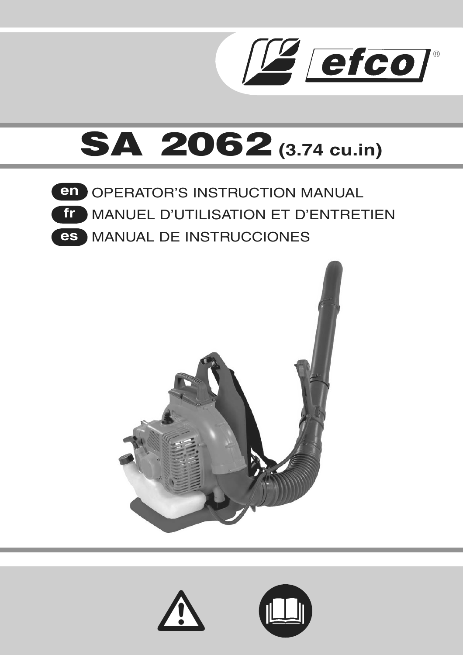



**OPERATOR'S INSTRUCTION MANUAL** MANUEL D'UTILISATION ET D'ENTRETIEN MANUAL DE INSTRUCCIONES **es en fr**





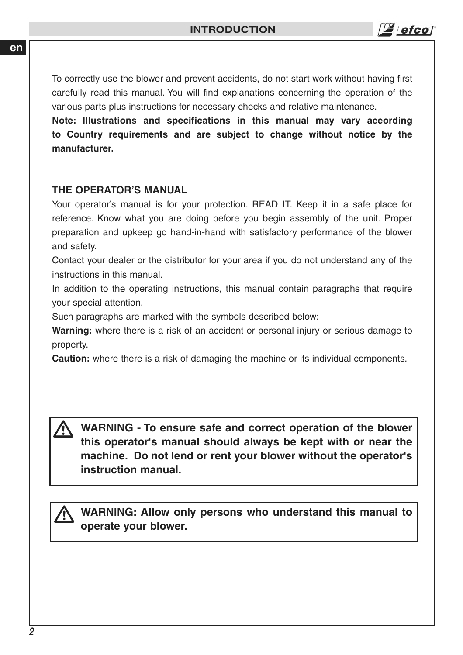efco

To correctly use the blower and prevent accidents, do not start work without having first carefully read this manual. You will find explanations concerning the operation of the various parts plus instructions for necessary checks and relative maintenance.

**Note: Illustrations and specifications in this manual may vary according to Country requirements and are subject to change without notice by the manufacturer.**

# **THE OPERATOR'S MANUAL**

Your operator's manual is for your protection. READ IT. Keep it in a safe place for reference. Know what you are doing before you begin assembly of the unit. Proper preparation and upkeep go hand-in-hand with satisfactory performance of the blower and safety.

Contact your dealer or the distributor for your area if you do not understand any of the instructions in this manual.

In addition to the operating instructions, this manual contain paragraphs that require your special attention.

Such paragraphs are marked with the symbols described below:

**Warning:** where there is a risk of an accident or personal injury or serious damage to property.

**Caution:** where there is a risk of damaging the machine or its individual components.

**WARNING - To ensure safe and correct operation of the blower this operator's manual should always be kept with or near the machine. Do not lend or rent your blower without the operator's instruction manual.**  $\overline{\mathbb{A}}$ 

**WARNING: Allow only persons who understand this manual to operate your blower.**  $\overline{\mathbb{A}}$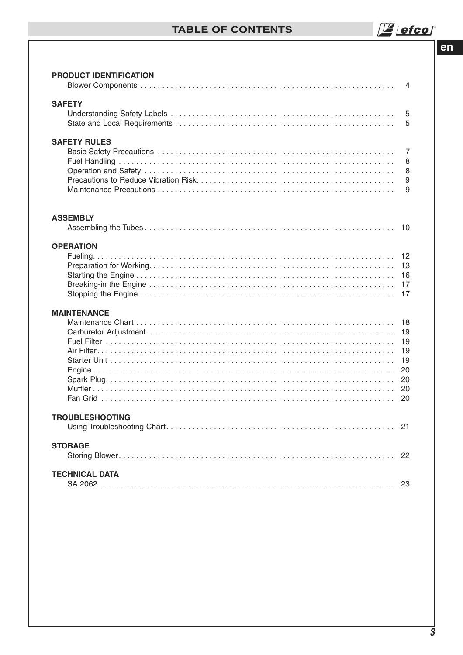# **TABLE OF CONTENTS**

 $e<sub>n</sub>$ 

| <b>SAFETY</b><br>5<br>5<br><b>SAFETY RULES</b><br>$\overline{7}$<br>8<br>8<br>9<br>9<br><b>ASSEMBLY</b><br><b>OPERATION</b><br>12<br>13<br>16<br>17<br>17<br><b>MAINTENANCE</b><br>18<br>19<br>19<br>19<br>19<br>20<br>20<br>20<br>20<br><b>TROUBLESHOOTING</b><br><b>STORAGE</b><br>22<br><b>TECHNICAL DATA</b> | PRODUCT IDENTIFICATION | 4 |
|------------------------------------------------------------------------------------------------------------------------------------------------------------------------------------------------------------------------------------------------------------------------------------------------------------------|------------------------|---|
|                                                                                                                                                                                                                                                                                                                  |                        |   |
|                                                                                                                                                                                                                                                                                                                  |                        |   |
|                                                                                                                                                                                                                                                                                                                  |                        |   |
|                                                                                                                                                                                                                                                                                                                  |                        |   |
|                                                                                                                                                                                                                                                                                                                  |                        |   |
|                                                                                                                                                                                                                                                                                                                  |                        |   |
|                                                                                                                                                                                                                                                                                                                  |                        |   |
|                                                                                                                                                                                                                                                                                                                  |                        |   |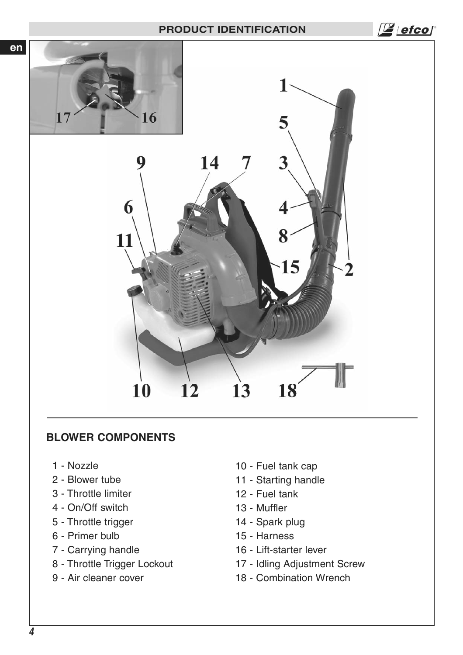## **PRODUCT IDENTIFICATION**



# **BLOWER COMPONENTS**

- 1 Nozzle
- 2 Blower tube
- 3 Throttle limiter
- 4 On/Off switch
- 5 Throttle trigger
- 6 Primer bulb
- 7 Carrying handle
- 8 Throttle Trigger Lockout
- 9 Air cleaner cover
- 10 Fuel tank cap
- 11 Starting handle
- 12 Fuel tank
- 13 Muffler
- 14 Spark plug
- 15 Harness
- 16 Lift-starter lever
- 17 Idling Adjustment Screw
- 18 Combination Wrench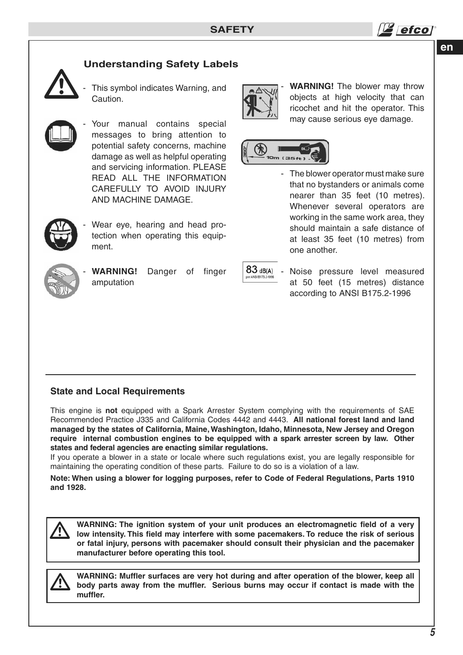

# **Understanding Safety Labels**



This symbol indicates Warning, and Caution.



Your manual contains special messages to bring attention to potential safety concerns, machine damage as well as helpful operating and servicing information. PLEASE READ ALL THE INFORMATION CAREFULLY TO AVOID INJURY AND MACHINE DAMAGE.



Wear eye, hearing and head protection when operating this equipment.



- **WARNING!** Danger of finger amputation

| dB(A) |  |
|-------|--|

IOm (35ft)

Noise pressure level measured at 50 feet (15 metres) distance according to ANSI B175.2-1996

one another.

**WARNING!** The blower may throw objects at high velocity that can ricochet and hit the operator. This may cause serious eye damage.

The blower operator must make sure that no bystanders or animals come nearer than 35 feet (10 metres). Whenever several operators are working in the same work area, they should maintain a safe distance of at least 35 feet (10 metres) from

## **State and Local Requirements**

This engine is **not** equipped with a Spark Arrester System complying with the requirements of SAE Recommended Practice J335 and California Codes 4442 and 4443. **All national forest land and land managed by the states of California, Maine, Washington, Idaho, Minnesota, New Jersey and Oregon require internal combustion engines to be equipped with a spark arrester screen by law. Other states and federal agencies are enacting similar regulations.**

If you operate a blower in a state or locale where such regulations exist, you are legally responsible for maintaining the operating condition of these parts. Failure to do so is a violation of a law.

**Note: When using a blower for logging purposes, refer to Code of Federal Regulations, Parts 1910 and 1928.**

**WARNING: The ignition system of your unit produces an electromagnetic field of a very low intensity. This field may interfere with some pacemakers. To reduce the risk of serious or fatal injury, persons with pacemaker should consult their physician and the pacemaker manufacturer before operating this tool.**  $\overline{\mathbb{A}}$ 



**WARNING: Muffler surfaces are very hot during and after operation of the blower, keep all body parts away from the muffler. Serious burns may occur if contact is made with the muffler.**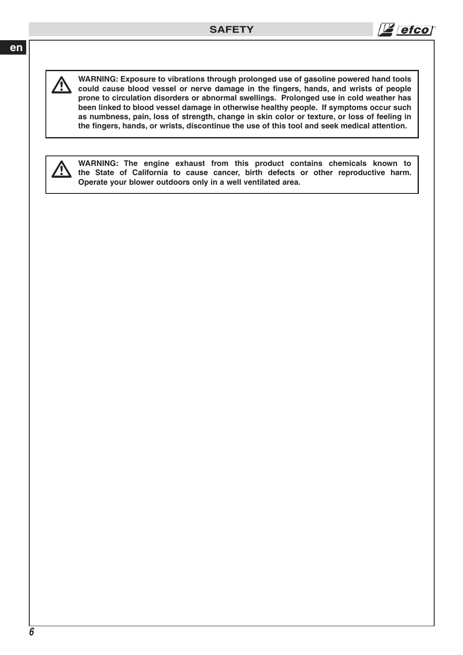

 $\triangle$ 

**WARNING: Exposure to vibrations through prolonged use of gasoline powered hand tools could cause blood vessel or nerve damage in the fingers, hands, and wrists of people prone to circulation disorders or abnormal swellings. Prolonged use in cold weather has been linked to blood vessel damage in otherwise healthy people. If symptoms occur such as numbness, pain, loss of strength, change in skin color or texture, or loss of feeling in the fingers, hands, or wrists, discontinue the use of this tool and seek medical attention.** 



**WARNING: The engine exhaust from this product contains chemicals known to the State of California to cause cancer, birth defects or other reproductive harm. Operate your blower outdoors only in a well ventilated area.**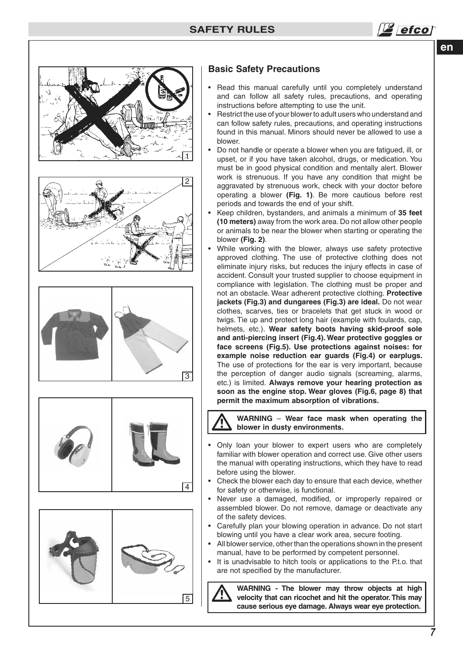











## **Basic Safety Precautions**

- Read this manual carefully until you completely understand and can follow all safety rules, precautions, and operating instructions before attempting to use the unit.
- Restrict the use of your blower to adult users who understand and can follow safety rules, precautions, and operating instructions found in this manual. Minors should never be allowed to use a blower.
- Do not handle or operate a blower when you are fatigued, ill, or upset, or if you have taken alcohol, drugs, or medication. You must be in good physical condition and mentally alert. Blower work is strenuous. If you have any condition that might be aggravated by strenuous work, check with your doctor before operating a blower **(Fig. 1)**. Be more cautious before rest periods and towards the end of your shift.
- Keep children, bystanders, and animals a minimum of **35 feet (10 meters)** away from the work area. Do not allow other people or animals to be near the blower when starting or operating the blower **(Fig. 2)**.
- While working with the blower, always use safety protective approved clothing. The use of protective clothing does not eliminate injury risks, but reduces the injury effects in case of accident. Consult your trusted supplier to choose equipment in compliance with legislation. The clothing must be proper and not an obstacle. Wear adherent protective clothing. **Protective jackets (Fig.3) and dungarees (Fig.3) are ideal.** Do not wear clothes, scarves, ties or bracelets that get stuck in wood or twigs. Tie up and protect long hair (example with foulards, cap, helmets, etc.). **Wear safety boots having skid-proof sole and anti-piercing insert (Fig.4). Wear protective goggles or face screens (Fig.5). Use protections against noises: for example noise reduction ear guards (Fig.4) or earplugs.**  The use of protections for the ear is very important, because the perception of danger audio signals (screaming, alarms, etc.) is limited. **Always remove your hearing protection as soon as the engine stop. Wear gloves (Fig.6, page 8) that permit the maximum absorption of vibrations.**

**WARNING** – **Wear face mask when operating the blower in dusty environments.**  $\overline{\mathbb{A}}$ 

- Only loan your blower to expert users who are completely familiar with blower operation and correct use. Give other users the manual with operating instructions, which they have to read before using the blower.
- Check the blower each day to ensure that each device, whether for safety or otherwise, is functional.
- Never use a damaged, modified, or improperly repaired or assembled blower. Do not remove, damage or deactivate any of the safety devices.
- Carefully plan your blowing operation in advance. Do not start blowing until you have a clear work area, secure footing.
- All blower service, other than the operations shown in the present manual, have to be performed by competent personnel.
- It is unadvisable to hitch tools or applications to the P.t.o. that are not specified by the manufacturer.

**WARNING - The blower may throw objects at high velocity that can ricochet and hit the operator. This may cause serious eye damage. Always wear eye protection.**  $\overline{\mathbb{A}}$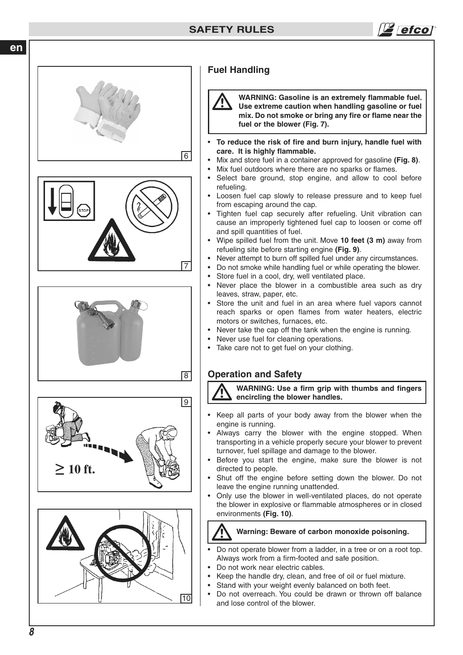



# **Fuel Handling**

**WARNING: Gasoline is an extremely flammable fuel. Use extreme caution when handling gasoline or fuel mix. Do not smoke or bring any fire or flame near the fuel or the blower (Fig. 7).**  $\overline{\mathbb{A}}$ 

efcol

- • **To reduce the risk of fire and burn injury, handle fuel with care. It is highly flammable.**
- Mix and store fuel in a container approved for gasoline **(Fig. 8)**.
- Mix fuel outdoors where there are no sparks or flames.
- Select bare ground, stop engine, and allow to cool before refueling.
- Loosen fuel cap slowly to release pressure and to keep fuel from escaping around the cap.
- Tighten fuel cap securely after refueling. Unit vibration can cause an improperly tightened fuel cap to loosen or come off and spill quantities of fuel.
- Wipe spilled fuel from the unit. Move **10 feet (3 m)** away from refueling site before starting engine **(Fig. 9)**.
- Never attempt to burn off spilled fuel under any circumstances.
- Do not smoke while handling fuel or while operating the blower.
- Store fuel in a cool, dry, well ventilated place.
- Never place the blower in a combustible area such as dry leaves, straw, paper, etc.
- Store the unit and fuel in an area where fuel vapors cannot reach sparks or open flames from water heaters, electric motors or switches, furnaces, etc.
- Never take the cap off the tank when the engine is running.
- Never use fuel for cleaning operations.
- Take care not to get fuel on your clothing.

# **Operation and Safety**

 **WARNING: Use a firm grip with thumbs and fingers encircling the blower handles.**  $\overline{\mathbf{\Lambda}}$ 

- Keep all parts of your body away from the blower when the engine is running.
- Always carry the blower with the engine stopped. When transporting in a vehicle properly secure your blower to prevent turnover, fuel spillage and damage to the blower.
- Before you start the engine, make sure the blower is not directed to people.
- Shut off the engine before setting down the blower. Do not leave the engine running unattended.
- Only use the blower in well-ventilated places, do not operate the blower in explosive or flammable atmospheres or in closed environments **(Fig. 10)**.

 **Warning: Beware of carbon monoxide poisoning.**  $\overline{\mathbb{A}}$ 

- Do not operate blower from a ladder, in a tree or on a root top. Always work from a firm-footed and safe position.
- Do not work near electric cables.
- Keep the handle dry, clean, and free of oil or fuel mixture.
- Stand with your weight evenly balanced on both feet.
- Do not overreach. You could be drawn or thrown off balance and lose control of the blower.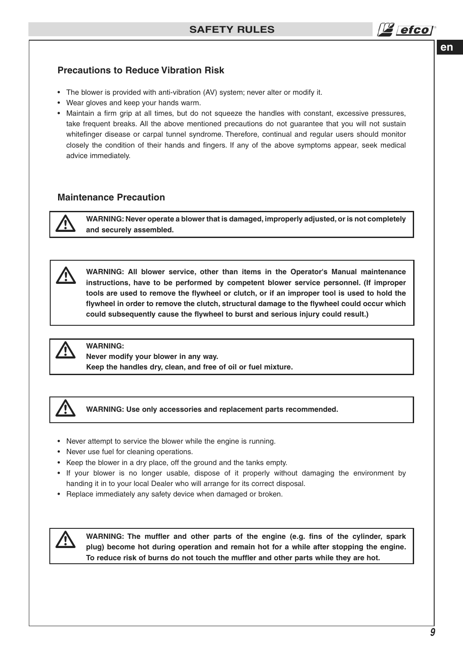

## **Precautions to Reduce Vibration Risk**

- The blower is provided with anti-vibration (AV) system; never alter or modify it.
- Wear gloves and keep your hands warm.
- Maintain a firm grip at all times, but do not squeeze the handles with constant, excessive pressures, take frequent breaks. All the above mentioned precautions do not guarantee that you will not sustain whitefinger disease or carpal tunnel syndrome. Therefore, continual and regular users should monitor closely the condition of their hands and fingers. If any of the above symptoms appear, seek medical advice immediately.

## **Maintenance Precaution**



 $\triangle$ 

**WARNING: Never operate a blower that is damaged, improperly adjusted, or is not completely and securely assembled.**

**WARNING: All blower service, other than items in the Operator's Manual maintenance instructions, have to be performed by competent blower service personnel. (If improper tools are used to remove the flywheel or clutch, or if an improper tool is used to hold the flywheel in order to remove the clutch, structural damage to the flywheel could occur which could subsequently cause the flywheel to burst and serious injury could result.)**



## **WARNING:**

**Never modify your blower in any way. Keep the handles dry, clean, and free of oil or fuel mixture.**



**WARNING: Use only accessories and replacement parts recommended.**

- Never attempt to service the blower while the engine is running.
- Never use fuel for cleaning operations.
- Keep the blower in a dry place, off the ground and the tanks empty.
- If your blower is no longer usable, dispose of it properly without damaging the environment by handing it in to your local Dealer who will arrange for its correct disposal.
- Replace immediately any safety device when damaged or broken.



**WARNING: The muffler and other parts of the engine (e.g. fins of the cylinder, spark plug) become hot during operation and remain hot for a while after stopping the engine. To reduce risk of burns do not touch the muffler and other parts while they are hot.**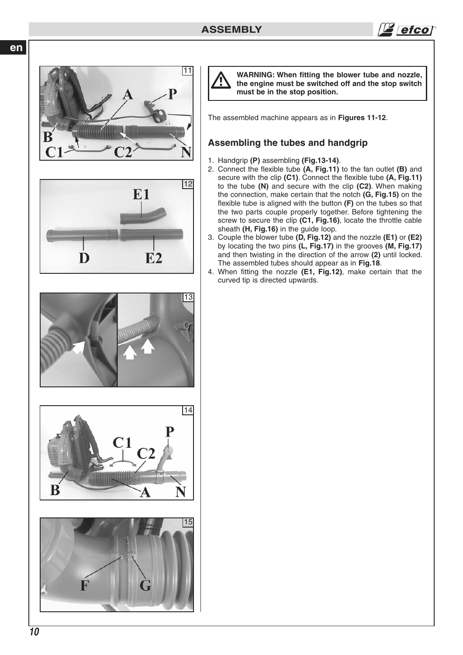













**WARNING: When fitting the blower tube and nozzle, the engine must be switched off and the stop switch must be in the stop position.**

The assembled machine appears as in **Figures 11-12**.

# **Assembling the tubes and handgrip**

- 1. Handgrip **(P)** assembling **(Fig.13-14)**.
- 2. Connect the flexible tube **(A, Fig.11)** to the fan outlet **(B)** and secure with the clip **(C1)**. Connect the flexible tube **(A, Fig.11)** to the tube **(N)** and secure with the clip **(C2)**. When making the connection, make certain that the notch **(G, Fig.15)** on the flexible tube is aligned with the button **(F)** on the tubes so that the two parts couple properly together. Before tightening the screw to secure the clip **(C1, Fig.16)**, locate the throttle cable sheath **(H, Fig.16)** in the guide loop.
- 3. Couple the blower tube **(D, Fig.12)** and the nozzle **(E1)** or **(E2)** by locating the two pins **(L, Fig.17)** in the grooves **(M, Fig.17)** and then twisting in the direction of the arrow **(2)** until locked. The assembled tubes should appear as in **Fig.18**.
- 4. When fitting the nozzle **(E1, Fig.12)**, make certain that the curved tip is directed upwards.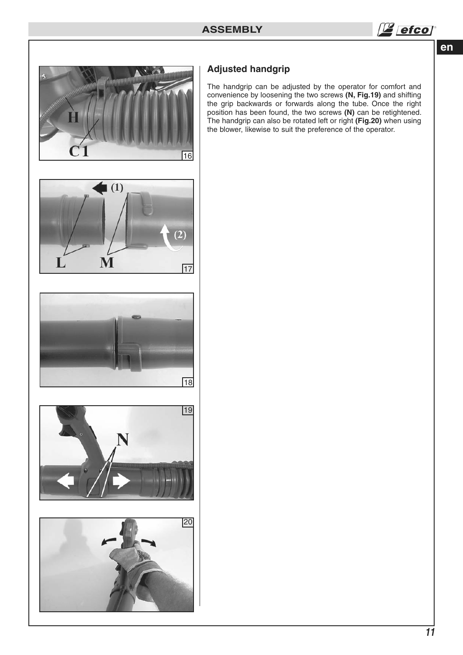



# **Adjusted handgrip**

The handgrip can be adjusted by the operator for comfort and convenience by loosening the two screws **(N, Fig.19)** and shifting the grip backwards or forwards along the tube. Once the right position has been found, the two screws **(N)** can be retightened. The handgrip can also be rotated left or right **(Fig.20)** when using the blower, likewise to suit the preference of the operator.







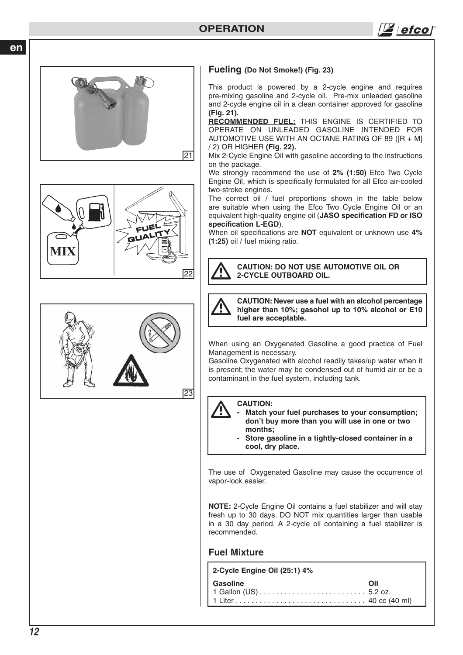efco



#### **Fueling (Do Not Smoke!) (Fig. 23)**

This product is powered by a 2-cycle engine and requires pre-mixing gasoline and 2-cycle oil. Pre-mix unleaded gasoline and 2-cycle engine oil in a clean container approved for gasoline **(Fig. 21).**

**RECOMMENDED FUEL:** THIS ENGINE IS CERTIFIED TO OPERATE ON UNLEADED GASOLINE INTENDED FOR AUTOMOTIVE USE WITH AN OCTANE RATING OF 89 ([R + M] / 2) OR HIGHER **(Fig. 22).**

Mix 2-Cycle Engine Oil with gasoline according to the instructions on the package.

We strongly recommend the use of **2% (1:50)** Efco Two Cycle Engine Oil, which is specifically formulated for all Efco air-cooled two-stroke engines.

The correct oil / fuel proportions shown in the table below are suitable when using the Efco Two Cycle Engine Oil or an equivalent high-quality engine oil (**JASO specification FD or ISO specification L-EGD**).

When oil specifications are **NOT** equivalent or unknown use **4% (1:25)** oil / fuel mixing ratio.

**CAUTION: DO NOT USE AUTOMOTIVE OIL OR 2-CYCLE OUTBOARD OIL.**  $\overline{\mathbb{A}}$ 

 $\overline{\mathbb{A}}$ 

**CAUTION: Never use a fuel with an alcohol percentage higher than 10%; gasohol up to 10% alcohol or E10 fuel are acceptable.** 

When using an Oxygenated Gasoline a good practice of Fuel Management is necessary.

Gasoline Oxygenated with alcohol readily takes/up water when it is present; the water may be condensed out of humid air or be a contaminant in the fuel system, including tank.



# **CAUTION:**

- Match your fuel purchases to your consumption;  **don't buy more than you will use in one or two months;**
	- **Store gasoline in a tightly-closed container in a cool, dry place.**

The use of Oxygenated Gasoline may cause the occurrence of vapor-lock easier.

**NOTE:** 2-Cycle Engine Oil contains a fuel stabilizer and will stay fresh up to 30 days. DO NOT mix quantities larger than usable in a 30 day period. A 2-cycle oil containing a fuel stabilizer is recommended.

## **Fuel Mixture**

**2-Cycle Engine Oil (25:1) 4%**

**Gasoline** Oil 1 Gallon (US) . . . . . . . . . . . . . . . . . . . . . . . . . . 5.2 oz. 1 Liter . . . . . . . . . . . . . . . . . . . . . . . . . . . . . . . . 40 cc (40 ml)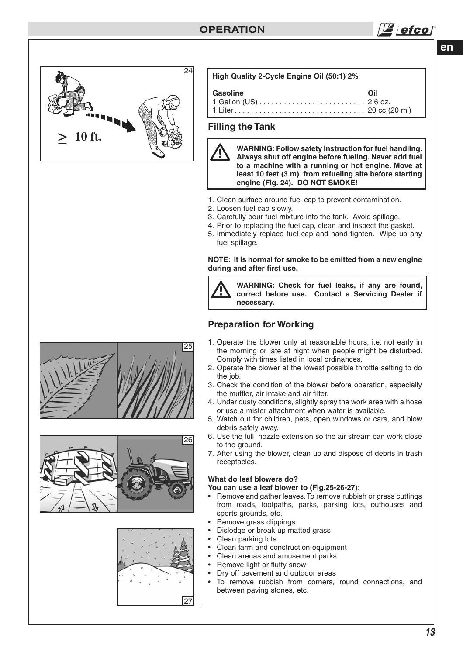

| High Quality 2-Cycle Engine Oil (50:1) 2%                                                                                                                                                                                                                                                                         |     |  |  |  |  |
|-------------------------------------------------------------------------------------------------------------------------------------------------------------------------------------------------------------------------------------------------------------------------------------------------------------------|-----|--|--|--|--|
| Gasoline                                                                                                                                                                                                                                                                                                          | Oil |  |  |  |  |
| <b>Filling the Tank</b>                                                                                                                                                                                                                                                                                           |     |  |  |  |  |
| WARNING: Follow safety instruction for fuel handling.<br>Always shut off engine before fueling. Never add fuel<br>to a machine with a running or hot engine. Move at<br>least 10 feet (3 m) from refueling site before starting<br>engine (Fig. 24). DO NOT SMOKE!                                                |     |  |  |  |  |
| 1. Clean surface around fuel cap to prevent contamination.<br>2. Loosen fuel cap slowly.<br>3. Carefully pour fuel mixture into the tank. Avoid spillage.<br>4. Prior to replacing the fuel cap, clean and inspect the gasket.<br>5. Immediately replace fuel cap and hand tighten. Wipe up any<br>fuel spillage. |     |  |  |  |  |
| NOTE: It is normal for smoke to be emitted from a new engine<br>during and after first use.                                                                                                                                                                                                                       |     |  |  |  |  |

**WARNING: Check for fuel leaks, if any are found, correct before use. Contact a Servicing Dealer if**   $\triangle$ 

# **Preparation for Working**

**necessary.**

- 1. Operate the blower only at reasonable hours, i.e. not early in the morning or late at night when people might be disturbed. Comply with times listed in local ordinances.
- 2. Operate the blower at the lowest possible throttle setting to do the job.
- 3. Check the condition of the blower before operation, especially the muffler, air intake and air filter.
- 4. Under dusty conditions, slightly spray the work area with a hose or use a mister attachment when water is available.
- 5. Watch out for children, pets, open windows or cars, and blow debris safely away.
- 6. Use the full nozzle extension so the air stream can work close to the ground.
- 7. After using the blower, clean up and dispose of debris in trash receptacles.

## **What do leaf blowers do?**

**You can use a leaf blower to (Fig.25-26-27):**

- Remove and gather leaves. To remove rubbish or grass cuttings from roads, footpaths, parks, parking lots, outhouses and sports grounds, etc.
- Remove grass clippings
- Dislodge or break up matted grass
- Clean parking lots
- Clean farm and construction equipment
- Clean arenas and amusement parks
- Remove light or fluffy snow
- Dry off pavement and outdoor areas
- To remove rubbish from corners, round connections, and between paving stones, etc.





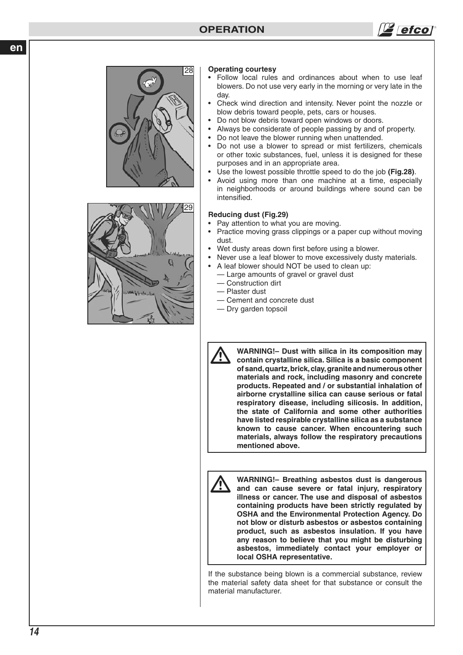# **OPERATION**







#### **Operating courtesy**

- Follow local rules and ordinances about when to use leaf blowers. Do not use very early in the morning or very late in the day.
- Check wind direction and intensity. Never point the nozzle or blow debris toward people, pets, cars or houses.
- Do not blow debris toward open windows or doors.
- Always be considerate of people passing by and of property.
- Do not leave the blower running when unattended.
- Do not use a blower to spread or mist fertilizers, chemicals or other toxic substances, fuel, unless it is designed for these purposes and in an appropriate area.
- Use the lowest possible throttle speed to do the job **(Fig.28)** .
- Avoid using more than one machine at a time, especially in neighborhoods or around buildings where sound can be intensified.

#### **Reducing dust (Fig.29)**

- Pay attention to what you are moving.
- Practice moving grass clippings or a paper cup without moving dust.
- Wet dusty areas down first before using a blower.
- Never use a leaf blower to move excessively dusty materials.
- A leaf blower should NOT be used to clean up:
	- Large amounts of gravel or gravel dust
	- Construction dirt
	- Plaster dust
	- Cement and concrete dust
	- Dry garden topsoil



**WARNING!– Dust with silica in its composition may contain crystalline silica. Silica is a basic component of sand, quartz, brick, clay, granite and numerous other materials and rock, including masonry and concrete products. Repeated and / or substantial inhalation of airborne crystalline silica can cause serious or fatal respiratory disease, including silicosis. In addition, the state of California and some other authorities have listed respirable crystalline silica as a substance known to cause cancer. When encountering such materials, always follow the respiratory precautions mentioned above.**



**WARNING!– Breathing asbestos dust is dangerous and can cause severe or fatal injury, respiratory illness or cancer. The use and disposal of asbestos containing products have been strictly regulated by OSHA and the Environmental Protection Agency. Do not blow or disturb asbestos or asbestos containing product, such as asbestos insulation. If you have any reason to believe that you might be disturbing asbestos, immediately contact your employer or local OSHA representative.**

If the substance being blown is a commercial substance, review the material safety data sheet for that substance or consult the material manufacturer.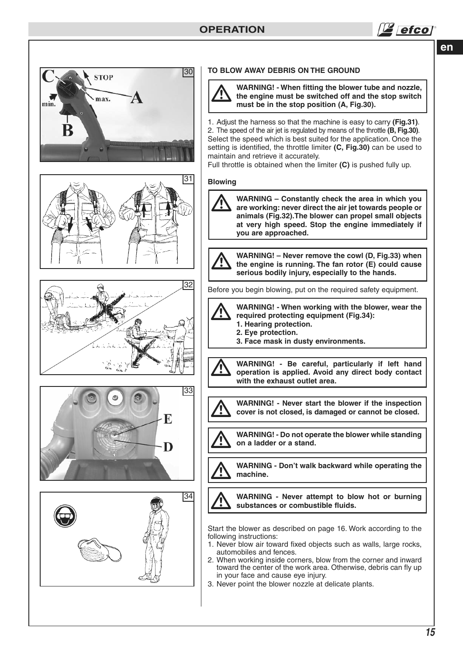



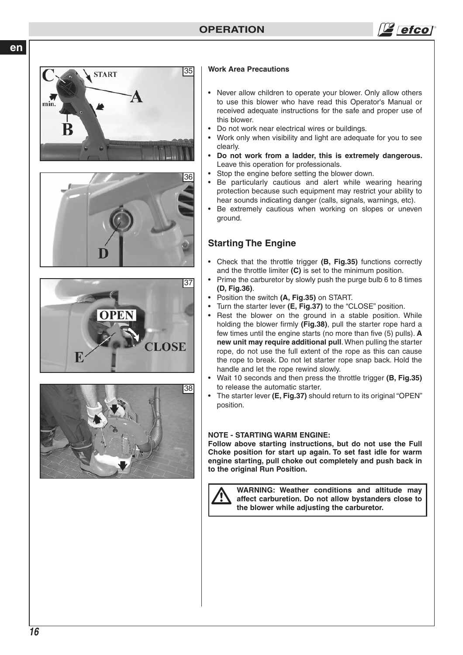![](_page_15_Figure_1.jpeg)

![](_page_15_Figure_2.jpeg)

![](_page_15_Picture_3.jpeg)

![](_page_15_Picture_4.jpeg)

![](_page_15_Picture_5.jpeg)

#### **Work Area Precautions**

- Never allow children to operate your blower. Only allow others to use this blower who have read this Operator's Manual or received adequate instructions for the safe and proper use of this blower.
- Do not work near electrical wires or buildings.
- Work only when visibility and light are adequate for you to see clearly.
- **Do not work from a ladder, this is extremely dangerous.**  Leave this operation for professionals.
- Stop the engine before setting the blower down.
- Be particularly cautious and alert while wearing hearing protection because such equipment may restrict your ability to hear sounds indicating danger (calls, signals, warnings, etc).
- Be extremely cautious when working on slopes or uneven ground.

# **Starting The Engine**

- Check that the throttle trigger **(B, Fig.35)** functions correctly and the throttle limiter **(C)** is set to the minimum position.
- Prime the carburetor by slowly push the purge bulb 6 to 8 times **(D, Fig.36)**.
- Position the switch **(A, Fig.35)** on START.
- Turn the starter lever **(E, Fig.37)** to the "CLOSE" position.
- Rest the blower on the ground in a stable position. While holding the blower firmly **(Fig.38)**, pull the starter rope hard a few times until the engine starts (no more than five (5) pulls). **A new unit may require additional pull**. When pulling the starter rope, do not use the full extent of the rope as this can cause the rope to break. Do not let starter rope snap back. Hold the handle and let the rope rewind slowly.
- Wait 10 seconds and then press the throttle trigger **(B, Fig.35)** to release the automatic starter.
- The starter lever **(E, Fig.37)** should return to its original "OPEN" position.

#### **NOTE - STARTING WARM ENGINE:**

**Follow above starting instructions, but do not use the Full Choke position for start up again. To set fast idle for warm engine starting, pull choke out completely and push back in to the original Run Position.**

![](_page_15_Picture_24.jpeg)

**WARNING: Weather conditions and altitude may affect carburetion. Do not allow bystanders close to the blower while adjusting the carburetor.**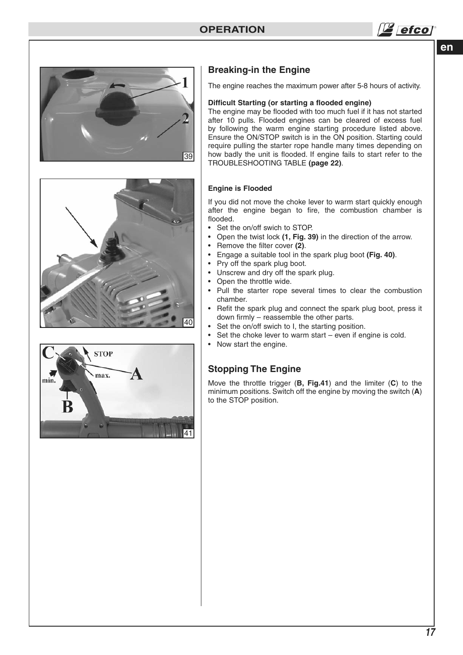![](_page_16_Picture_1.jpeg)

![](_page_16_Picture_2.jpeg)

![](_page_16_Picture_3.jpeg)

![](_page_16_Figure_4.jpeg)

# **Breaking-in the Engine**

The engine reaches the maximum power after 5-8 hours of activity.

#### **Difficult Starting (or starting a flooded engine)**

The engine may be flooded with too much fuel if it has not started after 10 pulls. Flooded engines can be cleared of excess fuel by following the warm engine starting procedure listed above. Ensure the ON/STOP switch is in the ON position. Starting could require pulling the starter rope handle many times depending on how badly the unit is flooded. If engine fails to start refer to the TROUBLESHOOTING TABLE **(page 22)**.

#### **Engine is Flooded**

If you did not move the choke lever to warm start quickly enough after the engine began to fire, the combustion chamber is flooded.

- Set the on/off swich to STOP.
- Open the twist lock **(1, Fig. 39)** in the direction of the arrow.
- Remove the filter cover **(2)**.
- Engage a suitable tool in the spark plug boot **(Fig. 40)**.
- Pry off the spark plug boot.
- Unscrew and dry off the spark plug.
- Open the throttle wide.
- Pull the starter rope several times to clear the combustion chamber.
- Refit the spark plug and connect the spark plug boot, press it down firmly – reassemble the other parts.
- Set the on/off swich to I, the starting position.
- Set the choke lever to warm start even if engine is cold.
- Now start the engine.

## **Stopping The Engine**

Move the throttle trigger (**B, Fig.41**) and the limiter (**C**) to the minimum positions. Switch off the engine by moving the switch (**A**) to the STOP position.

![](_page_16_Figure_25.jpeg)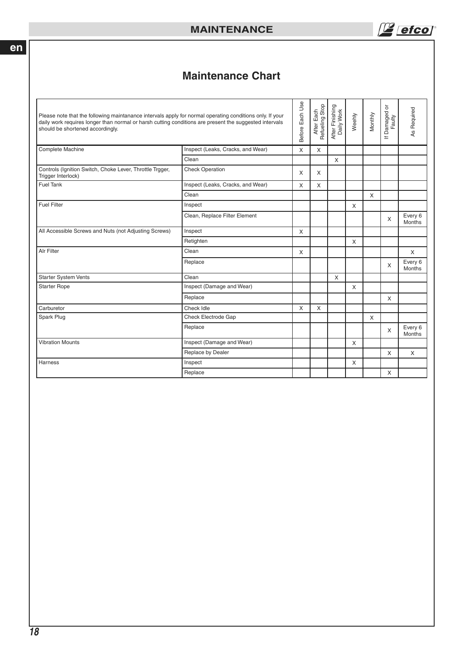$\mathbb{Z}$  efcol

# **Maintenance Chart**

| Please note that the following maintanance intervals apply for normal operating conditions only. If your<br>daily work requires longer than normal or harsh cutting conditions are present the suggested intervals<br>should be shortened accordingly. |                                   | Before Each Use | After Each<br>Refueling Stop | After Finishing<br>Daily Work | Weehly   | Monthly      | ১<br>Damaged<br>Faulty<br>$\equiv$ | As Required       |
|--------------------------------------------------------------------------------------------------------------------------------------------------------------------------------------------------------------------------------------------------------|-----------------------------------|-----------------|------------------------------|-------------------------------|----------|--------------|------------------------------------|-------------------|
| Complete Machine                                                                                                                                                                                                                                       | Inspect (Leaks, Cracks, and Wear) | X               | X                            |                               |          |              |                                    |                   |
|                                                                                                                                                                                                                                                        | Clean                             |                 |                              | X                             |          |              |                                    |                   |
| Controls (Ignition Switch, Choke Lever, Throttle Trgger,<br>Trigger Interlock)                                                                                                                                                                         | <b>Check Operation</b>            | X               | $\times$                     |                               |          |              |                                    |                   |
| <b>Fuel Tank</b>                                                                                                                                                                                                                                       | Inspect (Leaks, Cracks, and Wear) | X               | $\mathsf{x}$                 |                               |          |              |                                    |                   |
|                                                                                                                                                                                                                                                        | Clean                             |                 |                              |                               |          | $\mathsf{X}$ |                                    |                   |
| <b>Fuel Filter</b>                                                                                                                                                                                                                                     | Inspect                           |                 |                              |                               | $\times$ |              |                                    |                   |
|                                                                                                                                                                                                                                                        | Clean, Replace Filter Element     |                 |                              |                               |          |              | $\times$                           | Every 6<br>Months |
| All Accessible Screws and Nuts (not Adjusting Screws)                                                                                                                                                                                                  | Inspect                           | X               |                              |                               |          |              |                                    |                   |
|                                                                                                                                                                                                                                                        | Retighten                         |                 |                              |                               | X        |              |                                    |                   |
| Alr Filter                                                                                                                                                                                                                                             | Clean                             | X               |                              |                               |          |              |                                    | X                 |
|                                                                                                                                                                                                                                                        | Replace                           |                 |                              |                               |          |              | X                                  | Every 6<br>Months |
| <b>Starter System Vents</b>                                                                                                                                                                                                                            | Clean                             |                 |                              | X                             |          |              |                                    |                   |
| <b>Starter Rope</b>                                                                                                                                                                                                                                    | Inspect (Damage and Wear)         |                 |                              |                               | X        |              |                                    |                   |
|                                                                                                                                                                                                                                                        | Replace                           |                 |                              |                               |          |              | X                                  |                   |
| Carburetor                                                                                                                                                                                                                                             | Check Idle                        | X               | X                            |                               |          |              |                                    |                   |
| Spark Plug                                                                                                                                                                                                                                             | Check Electrode Gap               |                 |                              |                               |          | $\times$     |                                    |                   |
|                                                                                                                                                                                                                                                        | Replace                           |                 |                              |                               |          |              | X                                  | Every 6<br>Months |
| <b>Vibration Mounts</b>                                                                                                                                                                                                                                | Inspect (Damage and Wear)         |                 |                              |                               | X        |              |                                    |                   |
|                                                                                                                                                                                                                                                        | Replace by Dealer                 |                 |                              |                               |          |              | X                                  | X                 |
| Harness                                                                                                                                                                                                                                                | Inspect                           |                 |                              |                               | X        |              |                                    |                   |
|                                                                                                                                                                                                                                                        | Replace                           |                 |                              |                               |          |              | X                                  |                   |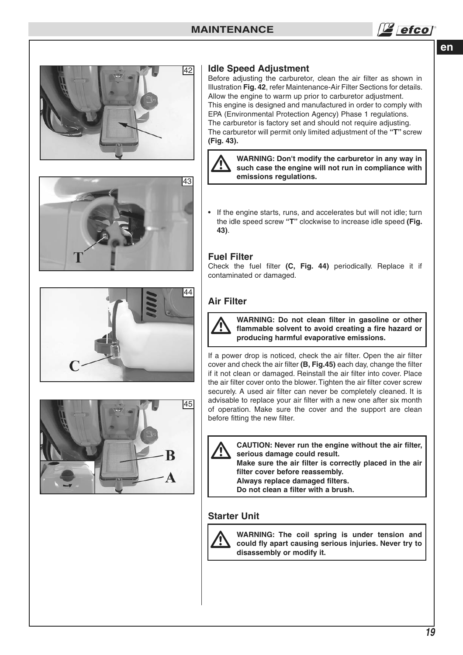![](_page_18_Picture_1.jpeg)

![](_page_18_Picture_2.jpeg)

![](_page_18_Picture_3.jpeg)

![](_page_18_Picture_4.jpeg)

![](_page_18_Picture_5.jpeg)

## **Idle Speed Adjustment**

Before adjusting the carburetor, clean the air filter as shown in Illustration **Fig. 42**, refer Maintenance-Air Filter Sections for details. Allow the engine to warm up prior to carburetor adjustment. This engine is designed and manufactured in order to comply with EPA (Environmental Protection Agency) Phase 1 regulations. The carburetor is factory set and should not require adjusting. The carburetor will permit only limited adjustment of the **"T"** screw **(Fig. 43).**

![](_page_18_Picture_8.jpeg)

**WARNING: Don't modify the carburetor in any way in such case the engine will not run in compliance with emissions regulations.**

If the engine starts, runs, and accelerates but will not idle; turn the idle speed screw **"T"** clockwise to increase idle speed **(Fig. 43)**.

## **Fuel Filter**

Check the fuel filter **(C, Fig. 44)** periodically. Replace it if contaminated or damaged.

## **Air Filter**

![](_page_18_Picture_14.jpeg)

**WARNING: Do not clean filter in gasoline or other flammable solvent to avoid creating a fire hazard or producing harmful evaporative emissions.**

If a power drop is noticed, check the air filter. Open the air filter cover and check the air filter **(B, Fig.45)** each day, change the filter if it not clean or damaged. Reinstall the air filter into cover. Place the air filter cover onto the blower. Tighten the air filter cover screw securely. A used air filter can never be completely cleaned. It is advisable to replace your air filter with a new one after six month of operation. Make sure the cover and the support are clean before fitting the new filter.

![](_page_18_Picture_17.jpeg)

**CAUTION: Never run the engine without the air filter, serious damage could result.**

**Make sure the air filter is correctly placed in the air filter cover before reassembly.**

**Always replace damaged filters.**

**Do not clean a filter with a brush.**

## **Starter Unit**

![](_page_18_Picture_23.jpeg)

**WARNING: The coil spring is under tension and could fly apart causing serious injuries. Never try to disassembly or modify it.**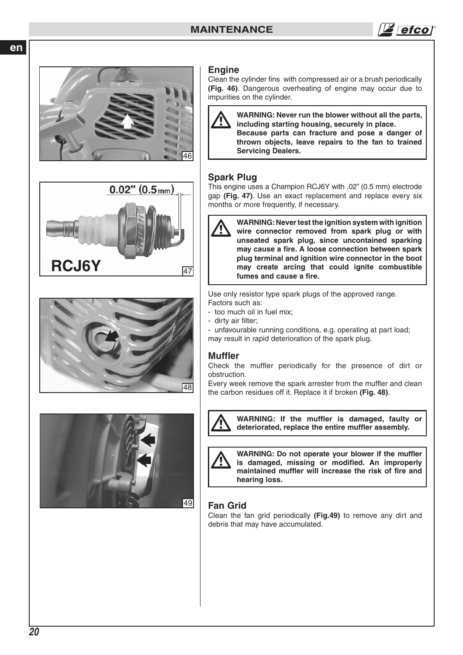# **MAINTENANCE**

![](_page_19_Picture_1.jpeg)

![](_page_19_Picture_2.jpeg)

![](_page_19_Picture_3.jpeg)

![](_page_19_Picture_4.jpeg)

![](_page_19_Picture_5.jpeg)

#### **Engine**

Clean the cylinder fins with compressed air or a brush periodically **(Fig. 46)**. Dangerous overheating of engine may occur due to impurities on the cylinder.

![](_page_19_Picture_8.jpeg)

**WARNING: Never run the blower without all the parts, including starting housing, securely in place. Because parts can fracture and pose a danger of thrown objects, leave repairs to the fan to trained Servicing Dealers.**

## **Spark Plug**

This engine uses a Champion RCJ6Y with .02" (0.5 mm) electrode gap **(Fig. 47)**. Use an exact replacement and replace every six months or more frequently, if necessary.

![](_page_19_Picture_12.jpeg)

**WARNING: Never test the ignition system with ignition wire connector removed from spark plug or with unseated spark plug, since uncontained sparking may cause a fire. A loose connection between spark plug terminal and ignition wire connector in the boot may create arcing that could ignite combustible fumes and cause a fire.**

Use only resistor type spark plugs of the approved range.

- Factors such as: - too much oil in fuel mix;
- dirty air filter;

- unfavourable running conditions, e.g. operating at part load; may result in rapid deterioration of the spark plug.

## **Muffler**

Check the muffler periodically for the presence of dirt or obstruction.

Every week remove the spark arrester from the muffler and clean the carbon residues off it. Replace it if broken **(Fig. 48)**.

![](_page_19_Picture_21.jpeg)

**WARNING: If the muffler is damaged, faulty or deteriorated, replace the entire muffler assembly.**

![](_page_19_Picture_23.jpeg)

**WARNING: Do not operate your blower if the muffler is damaged, missing or modified. An improperly maintained muffler will increase the risk of fire and hearing loss.**

## **Fan Grid**

Clean the fan grid periodically **(Fig.49)** to remove any dirt and debris that may have accumulated.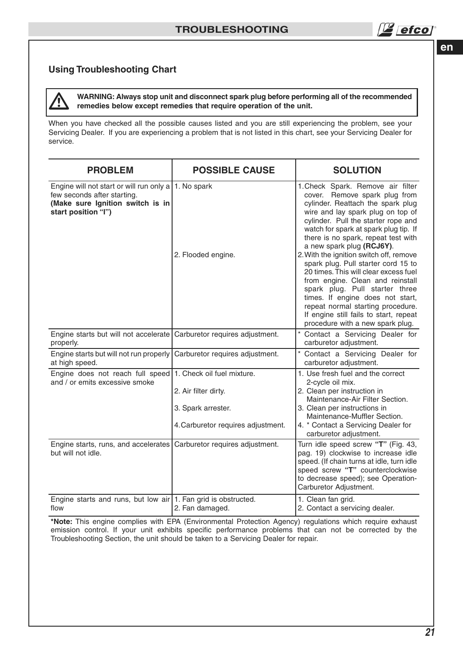# **Using Troubleshooting Chart**

**WARNING: Always stop unit and disconnect spark plug before performing all of the recommended remedies below except remedies that require operation of the unit.**  $\overline{\mathbb{A}}$ 

When you have checked all the possible causes listed and you are still experiencing the problem, see your Servicing Dealer. If you are experiencing a problem that is not listed in this chart, see your Servicing Dealer for service.

| <b>PROBLEM</b>                                                                                                                                   | <b>POSSIBLE CAUSE</b>                                                                                          | <b>SOLUTION</b>                                                                                                                                                                                                                                                                                                                                                                                                                                                                                                                                                                                                                                          |
|--------------------------------------------------------------------------------------------------------------------------------------------------|----------------------------------------------------------------------------------------------------------------|----------------------------------------------------------------------------------------------------------------------------------------------------------------------------------------------------------------------------------------------------------------------------------------------------------------------------------------------------------------------------------------------------------------------------------------------------------------------------------------------------------------------------------------------------------------------------------------------------------------------------------------------------------|
| Engine will not start or will run only a   1. No spark<br>few seconds after starting.<br>(Make sure Ignition switch is in<br>start position "I") | 2. Flooded engine.                                                                                             | 1. Check Spark. Remove air filter<br>cover. Remove spark plug from<br>cylinder. Reattach the spark plug<br>wire and lay spark plug on top of<br>cylinder. Pull the starter rope and<br>watch for spark at spark plug tip. If<br>there is no spark, repeat test with<br>a new spark plug (RCJ6Y).<br>2. With the ignition switch off, remove<br>spark plug. Pull starter cord 15 to<br>20 times. This will clear excess fuel<br>from engine. Clean and reinstall<br>spark plug. Pull starter three<br>times. If engine does not start,<br>repeat normal starting procedure.<br>If engine still fails to start, repeat<br>procedure with a new spark plug. |
| Engine starts but will not accelerate<br>properly.                                                                                               | Carburetor requires adjustment.                                                                                | * Contact a Servicing Dealer for<br>carburetor adjustment.                                                                                                                                                                                                                                                                                                                                                                                                                                                                                                                                                                                               |
| Engine starts but will not run properly<br>at high speed.                                                                                        | Carburetor requires adjustment.                                                                                | Contact a Servicing Dealer for<br>carburetor adjustment.                                                                                                                                                                                                                                                                                                                                                                                                                                                                                                                                                                                                 |
| Engine does not reach full speed<br>and / or emits excessive smoke                                                                               | 1. Check oil fuel mixture.<br>2. Air filter dirty.<br>3. Spark arrester.<br>4. Carburetor requires adjustment. | 1. Use fresh fuel and the correct<br>2-cycle oil mix.<br>2. Clean per instruction in<br>Maintenance-Air Filter Section.<br>3. Clean per instructions in<br>Maintenance-Muffler Section.<br>4. * Contact a Servicing Dealer for                                                                                                                                                                                                                                                                                                                                                                                                                           |
| Engine starts, runs, and accelerates<br>but will not idle.                                                                                       | Carburetor requires adjustment.                                                                                | carburetor adjustment.<br>Turn idle speed screw "T" (Fig. 43,<br>pag. 19) clockwise to increase idle<br>speed. (If chain turns at idle, turn idle<br>speed screw "T" counterclockwise<br>to decrease speed); see Operation-<br>Carburetor Adjustment.                                                                                                                                                                                                                                                                                                                                                                                                    |
| Engine starts and runs, but low air 1. Fan grid is obstructed.<br>flow                                                                           | 2. Fan damaged.                                                                                                | 1. Clean fan grid.<br>2. Contact a servicing dealer.                                                                                                                                                                                                                                                                                                                                                                                                                                                                                                                                                                                                     |

**\*Note:** This engine complies with EPA (Environmental Protection Agency) regulations which require exhaust emission control. If your unit exhibits specific performance problems that can not be corrected by the Troubleshooting Section, the unit should be taken to a Servicing Dealer for repair.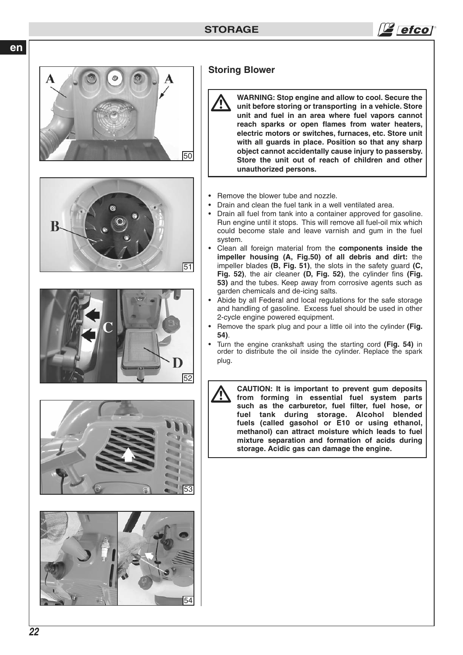![](_page_21_Picture_1.jpeg)

![](_page_21_Picture_2.jpeg)

## **Storing Blower**

**WARNING: Stop engine and allow to cool. Secure the unit before storing or transporting in a vehicle. Store unit and fuel in an area where fuel vapors cannot reach sparks or open flames from water heaters, electric motors or switches, furnaces, etc. Store unit with all guards in place. Position so that any sharp object cannot accidentally cause injury to passersby. Store the unit out of reach of children and other unauthorized persons.**  $\overline{\mathbb{A}}$ 

- Remove the blower tube and nozzle.
- Drain and clean the fuel tank in a well ventilated area.
- Drain all fuel from tank into a container approved for gasoline. Run engine until it stops. This will remove all fuel-oil mix which could become stale and leave varnish and gum in the fuel system.
- Clean all foreign material from the **components inside the impeller housing (A, Fig.50) of all debris and dirt:** the impeller blades **(B, Fig. 51)**, the slots in the safety guard **(C, Fig. 52)**, the air cleaner **(D, Fig. 52)**, the cylinder fins **(Fig. 53)** and the tubes. Keep away from corrosive agents such as garden chemicals and de-icing salts.
- Abide by all Federal and local regulations for the safe storage and handling of gasoline. Excess fuel should be used in other 2-cycle engine powered equipment.
- Remove the spark plug and pour a little oil into the cylinder **(Fig. 54)**.
- Turn the engine crankshaft using the starting cord **(Fig. 54)** in order to distribute the oil inside the cylinder. Replace the spark plug.

**storage. Acidic gas can damage the engine.**

**CAUTION: It is important to prevent gum deposits from forming in essential fuel system parts such as the carburetor, fuel filter, fuel hose, or fuel tank during storage. Alcohol blended fuels (called gasohol or E10 or using ethanol, methanol) can attract moisture which leads to fuel mixture separation and formation of acids during**   $\overline{\mathbb{A}}$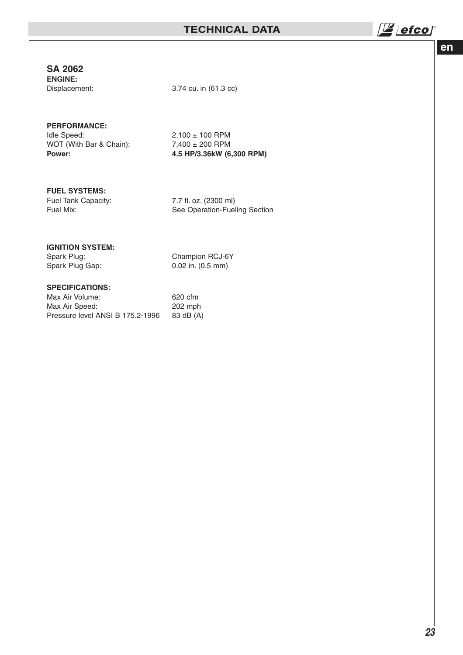# **SA 2062**

**ENGINE:**

Displacement: 3.74 cu. in (61.3 cc)

# **PERFORMANCE:**

WOT (With Bar & Chain):<br>Power:

 $2,100 \pm 100$  RPM<br> $7,400 \pm 200$  RPM **Power: 4.5 HP/3.36kW (6,300 RPM)**

#### **FUEL SYSTEMS:**

Fuel Tank Capacity: 7.7 fl. oz. (2300 ml)

Fuel Mix: See Operation-Fueling Section

# **IGNITION SYSTEM:**<br>Spark Plug:

Spark Plug: Champion RCJ-6Y<br>Spark Plug Gap: 0.02 in. (0.5 mm)

 $0.02$  in.  $(0.5$  mm)

## **SPECIFICATIONS:**

| Max Air Volume:                  | 620 cfm   |
|----------------------------------|-----------|
| Max Air Speed:                   | 202 mph   |
| Pressure level ANSI B 175.2-1996 | 83 dB (A) |

 $\sqrt{\frac{16}{4}}$  efcol